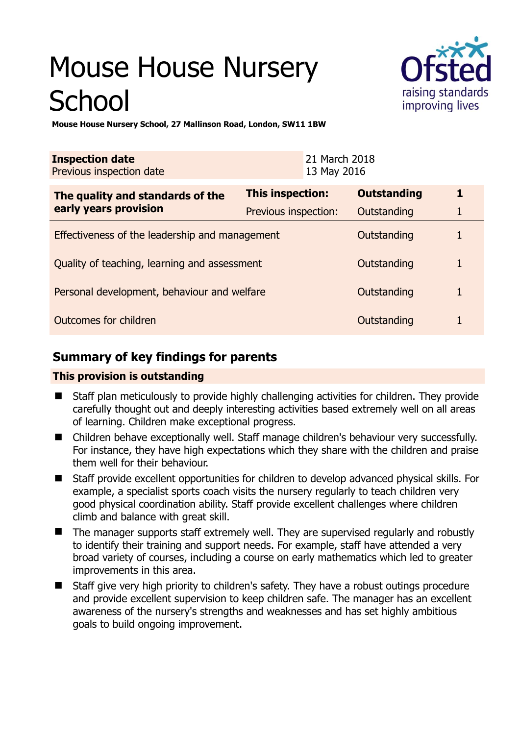# Mouse House Nursery **School**



**Mouse House Nursery School, 27 Mallinson Road, London, SW11 1BW** 

| <b>Inspection date</b><br>Previous inspection date        |                      | 21 March 2018<br>13 May 2016 |                    |   |
|-----------------------------------------------------------|----------------------|------------------------------|--------------------|---|
| The quality and standards of the<br>early years provision | This inspection:     |                              | <b>Outstanding</b> | 1 |
|                                                           | Previous inspection: |                              | Outstanding        | 1 |
| Effectiveness of the leadership and management            |                      |                              | Outstanding        |   |
| Quality of teaching, learning and assessment              |                      |                              | Outstanding        | 1 |
| Personal development, behaviour and welfare               |                      |                              | Outstanding        | 1 |
| Outcomes for children                                     |                      |                              | Outstanding        |   |

# **Summary of key findings for parents**

## **This provision is outstanding**

- Staff plan meticulously to provide highly challenging activities for children. They provide carefully thought out and deeply interesting activities based extremely well on all areas of learning. Children make exceptional progress.
- Children behave exceptionally well. Staff manage children's behaviour very successfully. For instance, they have high expectations which they share with the children and praise them well for their behaviour.
- Staff provide excellent opportunities for children to develop advanced physical skills. For example, a specialist sports coach visits the nursery regularly to teach children very good physical coordination ability. Staff provide excellent challenges where children climb and balance with great skill.
- The manager supports staff extremely well. They are supervised regularly and robustly to identify their training and support needs. For example, staff have attended a very broad variety of courses, including a course on early mathematics which led to greater improvements in this area.
- Staff give very high priority to children's safety. They have a robust outings procedure and provide excellent supervision to keep children safe. The manager has an excellent awareness of the nursery's strengths and weaknesses and has set highly ambitious goals to build ongoing improvement.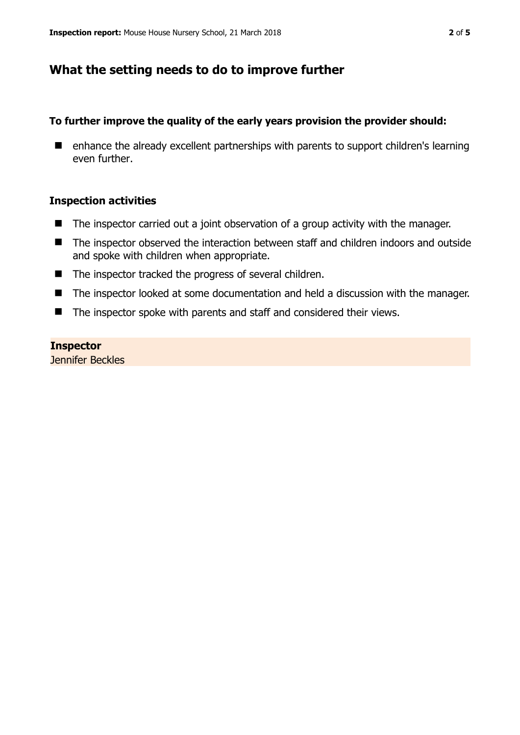# **What the setting needs to do to improve further**

## **To further improve the quality of the early years provision the provider should:**

■ enhance the already excellent partnerships with parents to support children's learning even further.

## **Inspection activities**

- The inspector carried out a joint observation of a group activity with the manager.
- The inspector observed the interaction between staff and children indoors and outside and spoke with children when appropriate.
- The inspector tracked the progress of several children.
- The inspector looked at some documentation and held a discussion with the manager.
- The inspector spoke with parents and staff and considered their views.

## **Inspector**

Jennifer Beckles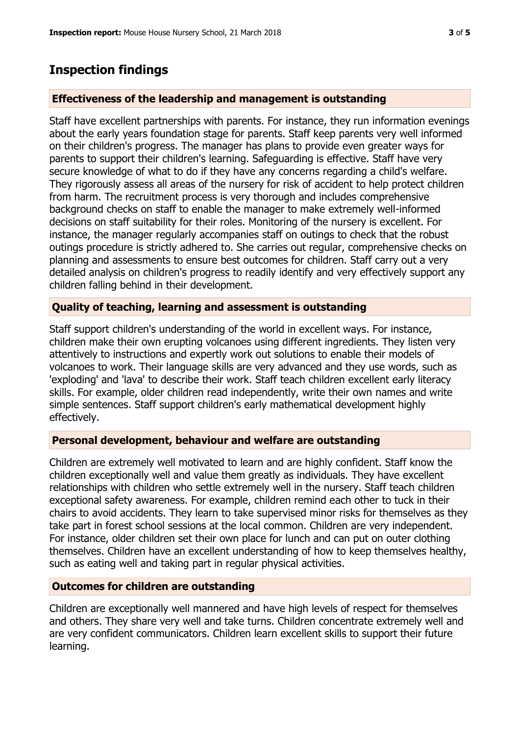## **Inspection findings**

### **Effectiveness of the leadership and management is outstanding**

Staff have excellent partnerships with parents. For instance, they run information evenings about the early years foundation stage for parents. Staff keep parents very well informed on their children's progress. The manager has plans to provide even greater ways for parents to support their children's learning. Safeguarding is effective. Staff have very secure knowledge of what to do if they have any concerns regarding a child's welfare. They rigorously assess all areas of the nursery for risk of accident to help protect children from harm. The recruitment process is very thorough and includes comprehensive background checks on staff to enable the manager to make extremely well-informed decisions on staff suitability for their roles. Monitoring of the nursery is excellent. For instance, the manager regularly accompanies staff on outings to check that the robust outings procedure is strictly adhered to. She carries out regular, comprehensive checks on planning and assessments to ensure best outcomes for children. Staff carry out a very detailed analysis on children's progress to readily identify and very effectively support any children falling behind in their development.

## **Quality of teaching, learning and assessment is outstanding**

Staff support children's understanding of the world in excellent ways. For instance, children make their own erupting volcanoes using different ingredients. They listen very attentively to instructions and expertly work out solutions to enable their models of volcanoes to work. Their language skills are very advanced and they use words, such as 'exploding' and 'lava' to describe their work. Staff teach children excellent early literacy skills. For example, older children read independently, write their own names and write simple sentences. Staff support children's early mathematical development highly effectively.

#### **Personal development, behaviour and welfare are outstanding**

Children are extremely well motivated to learn and are highly confident. Staff know the children exceptionally well and value them greatly as individuals. They have excellent relationships with children who settle extremely well in the nursery. Staff teach children exceptional safety awareness. For example, children remind each other to tuck in their chairs to avoid accidents. They learn to take supervised minor risks for themselves as they take part in forest school sessions at the local common. Children are very independent. For instance, older children set their own place for lunch and can put on outer clothing themselves. Children have an excellent understanding of how to keep themselves healthy, such as eating well and taking part in regular physical activities.

#### **Outcomes for children are outstanding**

Children are exceptionally well mannered and have high levels of respect for themselves and others. They share very well and take turns. Children concentrate extremely well and are very confident communicators. Children learn excellent skills to support their future learning.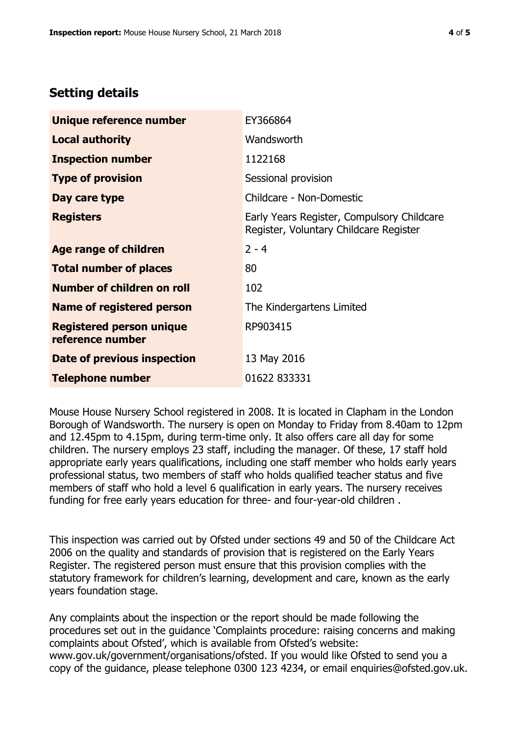# **Setting details**

| Unique reference number                             | EY366864                                                                             |  |
|-----------------------------------------------------|--------------------------------------------------------------------------------------|--|
| <b>Local authority</b>                              | Wandsworth                                                                           |  |
| <b>Inspection number</b>                            | 1122168                                                                              |  |
| <b>Type of provision</b>                            | Sessional provision                                                                  |  |
| Day care type                                       | Childcare - Non-Domestic                                                             |  |
| <b>Registers</b>                                    | Early Years Register, Compulsory Childcare<br>Register, Voluntary Childcare Register |  |
| Age range of children                               | $2 - 4$                                                                              |  |
| <b>Total number of places</b>                       | 80                                                                                   |  |
| Number of children on roll                          | 102                                                                                  |  |
| Name of registered person                           | The Kindergartens Limited                                                            |  |
| <b>Registered person unique</b><br>reference number | RP903415                                                                             |  |
| Date of previous inspection                         | 13 May 2016                                                                          |  |
| <b>Telephone number</b>                             | 01622 833331                                                                         |  |

Mouse House Nursery School registered in 2008. It is located in Clapham in the London Borough of Wandsworth. The nursery is open on Monday to Friday from 8.40am to 12pm and 12.45pm to 4.15pm, during term-time only. It also offers care all day for some children. The nursery employs 23 staff, including the manager. Of these, 17 staff hold appropriate early years qualifications, including one staff member who holds early years professional status, two members of staff who holds qualified teacher status and five members of staff who hold a level 6 qualification in early years. The nursery receives funding for free early years education for three- and four-year-old children .

This inspection was carried out by Ofsted under sections 49 and 50 of the Childcare Act 2006 on the quality and standards of provision that is registered on the Early Years Register. The registered person must ensure that this provision complies with the statutory framework for children's learning, development and care, known as the early years foundation stage.

Any complaints about the inspection or the report should be made following the procedures set out in the guidance 'Complaints procedure: raising concerns and making complaints about Ofsted', which is available from Ofsted's website: www.gov.uk/government/organisations/ofsted. If you would like Ofsted to send you a copy of the guidance, please telephone 0300 123 4234, or email enquiries@ofsted.gov.uk.